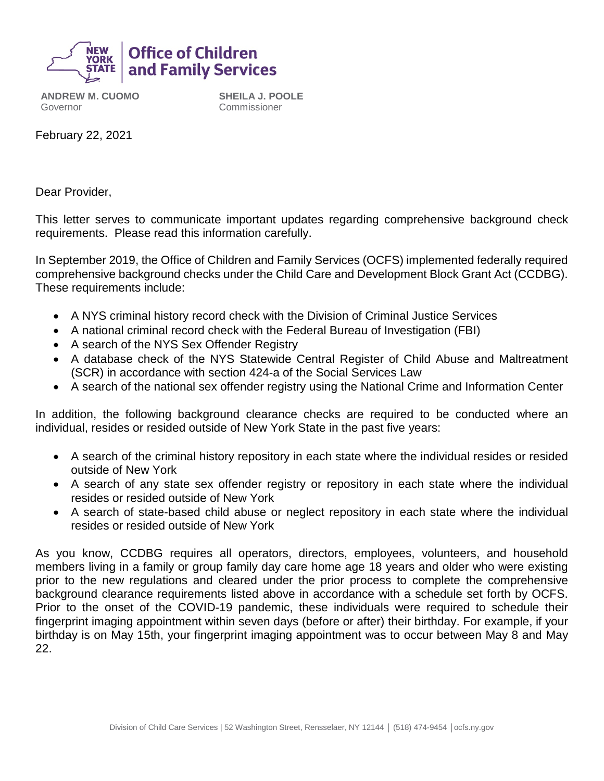

**ANDREW M. CUOMO** Governor

**SHEILA J. POOLE** Commissioner

February 22, 2021

Dear Provider,

This letter serves to communicate important updates regarding comprehensive background check requirements. Please read this information carefully.

In September 2019, the Office of Children and Family Services (OCFS) implemented federally required comprehensive background checks under the Child Care and Development Block Grant Act (CCDBG). These requirements include:

- A NYS criminal history record check with the Division of Criminal Justice Services
- A national criminal record check with the Federal Bureau of Investigation (FBI)
- A search of the NYS Sex Offender Registry
- A database check of the NYS Statewide Central Register of Child Abuse and Maltreatment (SCR) in accordance with section 424-a of the Social Services Law
- A search of the national sex offender registry using the National Crime and Information Center

In addition, the following background clearance checks are required to be conducted where an individual, resides or resided outside of New York State in the past five years:

- A search of the criminal history repository in each state where the individual resides or resided outside of New York
- A search of any state sex offender registry or repository in each state where the individual resides or resided outside of New York
- A search of state-based child abuse or neglect repository in each state where the individual resides or resided outside of New York

As you know, CCDBG requires all operators, directors, employees, volunteers, and household members living in a family or group family day care home age 18 years and older who were existing prior to the new regulations and cleared under the prior process to complete the comprehensive background clearance requirements listed above in accordance with a schedule set forth by OCFS. Prior to the onset of the COVID-19 pandemic, these individuals were required to schedule their fingerprint imaging appointment within seven days (before or after) their birthday. For example, if your birthday is on May 15th, your fingerprint imaging appointment was to occur between May 8 and May 22.